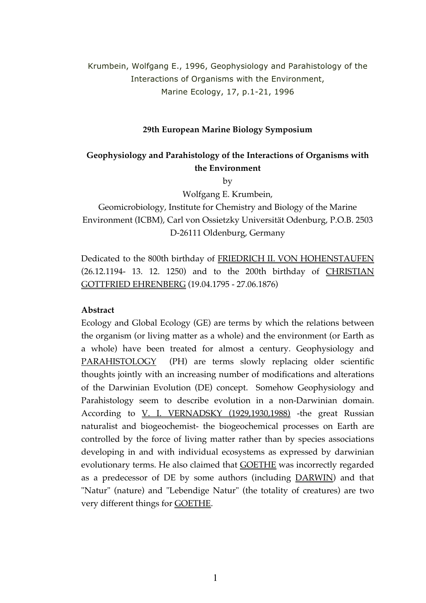Krumbein, Wolfgang E., 1996, Geophysiology and Parahistology of the Interactions of Organisms with the Environment, Marine Ecology, 17, p.1-21, 1996

#### **29th European Marine Biology Symposium**

# **Geophysiology and Parahistology of the Interactions of Organisms with the Environment**

by

Wolfgang E. Krumbein,

Geomicrobiology, Institute for Chemistry and Biology of the Marine Environment (ICBM), Carl von Ossietzky Universität Odenburg, P.O.B. 2503 D-26111 Oldenburg, Germany

Dedicated to the 800th birthday of FRIEDRICH II. VON HOHENSTAUFEN (26.12.1194- 13. 12. 1250) and to the 200th birthday of CHRISTIAN GOTTFRIED EHRENBERG (19.04.1795 - 27.06.1876)

#### **Abstract**

Ecology and Global Ecology (GE) are terms by which the relations between the organism (or living matter as a whole) and the environment (or Earth as a whole) have been treated for almost a century. Geophysiology and PARAHISTOLOGY (PH) are terms slowly replacing older scientific thoughts jointly with an increasing number of modifications and alterations of the Darwinian Evolution (DE) concept. Somehow Geophysiology and Parahistology seem to describe evolution in a non-Darwinian domain. According to V. I. VERNADSKY (1929,1930,1988) -the great Russian naturalist and biogeochemist- the biogeochemical processes on Earth are controlled by the force of living matter rather than by species associations developing in and with individual ecosystems as expressed by darwinian evolutionary terms. He also claimed that GOETHE was incorrectly regarded as a predecessor of DE by some authors (including DARWIN) and that "Natur" (nature) and "Lebendige Natur" (the totality of creatures) are two very different things for GOETHE.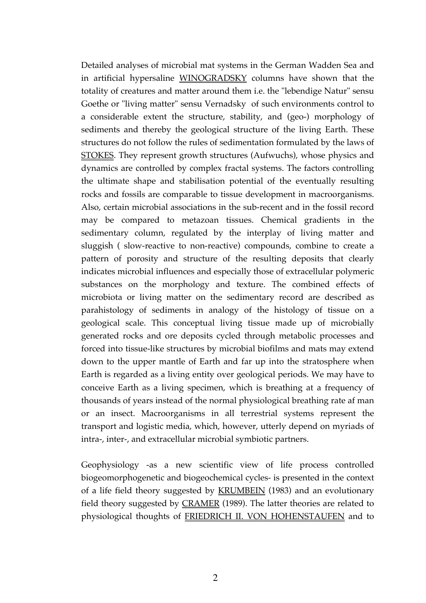Detailed analyses of microbial mat systems in the German Wadden Sea and in artificial hypersaline WINOGRADSKY columns have shown that the totality of creatures and matter around them i.e. the "lebendige Natur" sensu Goethe or "living matter" sensu Vernadsky of such environments control to a considerable extent the structure, stability, and (geo-) morphology of sediments and thereby the geological structure of the living Earth. These structures do not follow the rules of sedimentation formulated by the laws of STOKES. They represent growth structures (Aufwuchs), whose physics and dynamics are controlled by complex fractal systems. The factors controlling the ultimate shape and stabilisation potential of the eventually resulting rocks and fossils are comparable to tissue development in macroorganisms. Also, certain microbial associations in the sub-recent and in the fossil record may be compared to metazoan tissues. Chemical gradients in the sedimentary column, regulated by the interplay of living matter and sluggish ( slow-reactive to non-reactive) compounds, combine to create a pattern of porosity and structure of the resulting deposits that clearly indicates microbial influences and especially those of extracellular polymeric substances on the morphology and texture. The combined effects of microbiota or living matter on the sedimentary record are described as parahistology of sediments in analogy of the histology of tissue on a geological scale. This conceptual living tissue made up of microbially generated rocks and ore deposits cycled through metabolic processes and forced into tissue-like structures by microbial biofilms and mats may extend down to the upper mantle of Earth and far up into the stratosphere when Earth is regarded as a living entity over geological periods. We may have to conceive Earth as a living specimen, which is breathing at a frequency of thousands of years instead of the normal physiological breathing rate af man or an insect. Macroorganisms in all terrestrial systems represent the transport and logistic media, which, however, utterly depend on myriads of intra-, inter-, and extracellular microbial symbiotic partners.

Geophysiology -as a new scientific view of life process controlled biogeomorphogenetic and biogeochemical cycles- is presented in the context of a life field theory suggested by KRUMBEIN (1983) and an evolutionary field theory suggested by CRAMER (1989). The latter theories are related to physiological thoughts of **FRIEDRICH II. VON HOHENSTAUFEN** and to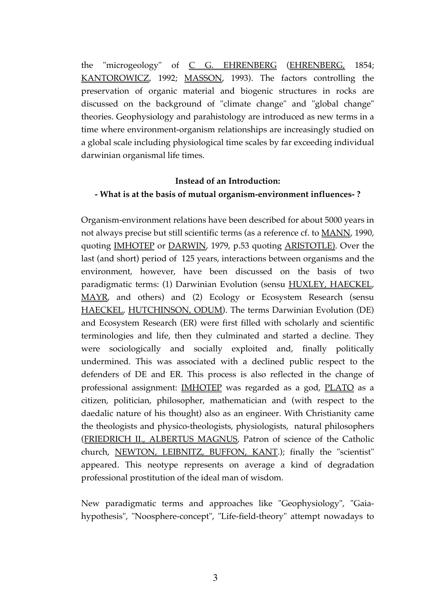the "microgeology" of C G. EHRENBERG (EHRENBERG, 1854; KANTOROWICZ, 1992; MASSON, 1993). The factors controlling the preservation of organic material and biogenic structures in rocks are discussed on the background of "climate change" and "global change" theories. Geophysiology and parahistology are introduced as new terms in a time where environment-organism relationships are increasingly studied on a global scale including physiological time scales by far exceeding individual darwinian organismal life times.

## **Instead of an Introduction:**

# **- What is at the basis of mutual organism-environment influences- ?**

Organism-environment relations have been described for about 5000 years in not always precise but still scientific terms (as a reference cf. to MANN, 1990, quoting IMHOTEP or DARWIN, 1979, p.53 quoting ARISTOTLE). Over the last (and short) period of 125 years, interactions between organisms and the environment, however, have been discussed on the basis of two paradigmatic terms: (1) Darwinian Evolution (sensu HUXLEY, HAECKEL, MAYR, and others) and (2) Ecology or Ecosystem Research (sensu HAECKEL, HUTCHINSON, ODUM). The terms Darwinian Evolution (DE) and Ecosystem Research (ER) were first filled with scholarly and scientific terminologies and life, then they culminated and started a decline. They were sociologically and socially exploited and, finally politically undermined. This was associated with a declined public respect to the defenders of DE and ER. This process is also reflected in the change of professional assignment: IMHOTEP was regarded as a god, PLATO as a citizen, politician, philosopher, mathematician and (with respect to the daedalic nature of his thought) also as an engineer. With Christianity came the theologists and physico-theologists, physiologists, natural philosophers (FRIEDRICH II., ALBERTUS MAGNUS, Patron of science of the Catholic church, NEWTON, LEIBNITZ, BUFFON, KANT.); finally the "scientist" appeared. This neotype represents on average a kind of degradation professional prostitution of the ideal man of wisdom.

New paradigmatic terms and approaches like "Geophysiology", "Gaiahypothesis", "Noosphere-concept", "Life-field-theory" attempt nowadays to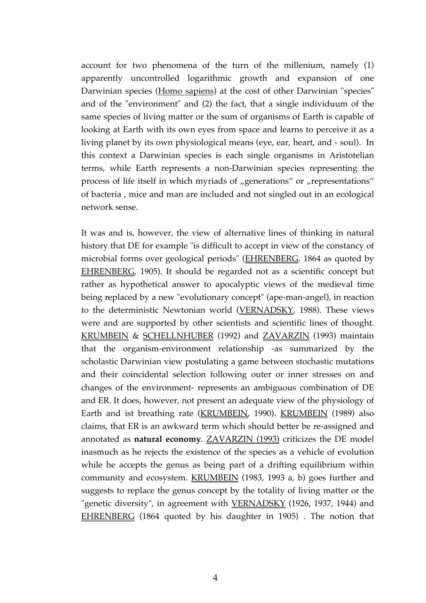account for two phenomena of the turn of the millenium, namely (1) apparently uncontrolled logarithmic growth and expansion of one Darwinian species (Homo sapiens) at the cost of other Darwinian "species" and of the "environment" and (2) the fact, that a single individuum of the same species of living matter or the sum of organisms of Earth is capable of looking at Earth with its own eyes from space and learns to perceive it as a living planet by its own physiological means (eye, ear, heart, and - soul). In this context a Darwinian species is each single organisms in Aristotelian terms, while Earth represents a non-Darwinian species representing the process of life itself in which myriads of "generations" or "representations" of bacteria , mice and man are included and not singled out in an ecological network sense.

It was and is, however, the view of alternative lines of thinking in natural history that DE for example "is difficult to accept in view of the constancy of microbial forms over geological periods" (EHRENBERG, 1864 as quoted by EHRENBERG, 1905). It should be regarded not as a scientific concept but rather as hypothetical answer to apocalyptic views of the medieval time being replaced by a new "evolutionary concept" (ape-man-angel), in reaction to the deterministic Newtonian world (VERNADSKY, 1988). These views were and are supported by other scientists and scientific lines of thought. KRUMBEIN & SCHELLNHUBER (1992) and ZAVARZIN (1993) maintain that the organism-environment relationship -as summarized by the scholastic Darwinian view postulating a game between stochastic mutations and their coincidental selection following outer or inner stresses on and changes of the environment- represents an ambiguous combination of DE and ER. It does, however, not present an adequate view of the physiology of Earth and ist breathing rate (KRUMBEIN, 1990). KRUMBEIN (1989) also claims, that ER is an awkward term which should better be re-assigned and annotated as **natural economy**. ZAVARZIN (1993) criticizes the DE model inasmuch as he rejects the existence of the species as a vehicle of evolution while he accepts the genus as being part of a drifting equilibrium within community and ecosystem. **KRUMBEIN** (1983, 1993 a, b) goes further and suggests to replace the genus concept by the totality of living matter or the "genetic diversity", in agreement with VERNADSKY (1926, 1937, 1944) and EHRENBERG (1864 quoted by his daughter in 1905) . The notion that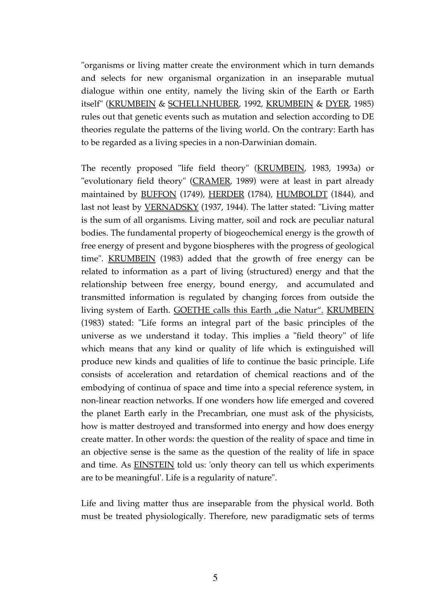"organisms or living matter create the environment which in turn demands and selects for new organismal organization in an inseparable mutual dialogue within one entity, namely the living skin of the Earth or Earth itself" (KRUMBEIN & SCHELLNHUBER, 1992, KRUMBEIN & DYER, 1985) rules out that genetic events such as mutation and selection according to DE theories regulate the patterns of the living world. On the contrary: Earth has to be regarded as a living species in a non-Darwinian domain.

The recently proposed "life field theory" (KRUMBEIN, 1983, 1993a) or "evolutionary field theory" (CRAMER, 1989) were at least in part already maintained by **BUFFON** (1749), HERDER (1784), HUMBOLDT (1844), and last not least by VERNADSKY (1937, 1944). The latter stated: "Living matter is the sum of all organisms. Living matter, soil and rock are peculiar natural bodies. The fundamental property of biogeochemical energy is the growth of free energy of present and bygone biospheres with the progress of geological time". KRUMBEIN (1983) added that the growth of free energy can be related to information as a part of living (structured) energy and that the relationship between free energy, bound energy, and accumulated and transmitted information is regulated by changing forces from outside the living system of Earth. GOETHE calls this Earth "die Natur". KRUMBEIN (1983) stated: "Life forms an integral part of the basic principles of the universe as we understand it today. This implies a "field theory" of life which means that any kind or quality of life which is extinguished will produce new kinds and qualities of life to continue the basic principle. Life consists of acceleration and retardation of chemical reactions and of the embodying of continua of space and time into a special reference system, in non-linear reaction networks. If one wonders how life emerged and covered the planet Earth early in the Precambrian, one must ask of the physicists, how is matter destroyed and transformed into energy and how does energy create matter. In other words: the question of the reality of space and time in an objective sense is the same as the question of the reality of life in space and time. As **EINSTEIN** told us: 'only theory can tell us which experiments are to be meaningful'. Life is a regularity of nature".

Life and living matter thus are inseparable from the physical world. Both must be treated physiologically. Therefore, new paradigmatic sets of terms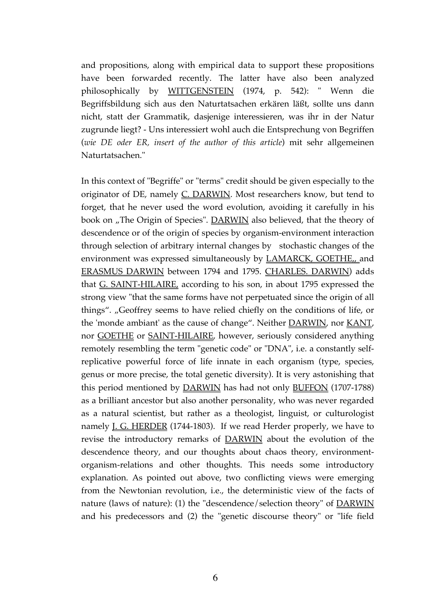and propositions, along with empirical data to support these propositions have been forwarded recently. The latter have also been analyzed philosophically by WITTGENSTEIN (1974, p. 542): " Wenn die Begriffsbildung sich aus den Naturtatsachen erkären läßt, sollte uns dann nicht, statt der Grammatik, dasjenige interessieren, was ihr in der Natur zugrunde liegt? - Uns interessiert wohl auch die Entsprechung von Begriffen (*wie DE oder ER, insert of the author of this article*) mit sehr allgemeinen Naturtatsachen."

In this context of "Begriffe" or "terms" credit should be given especially to the originator of DE, namely C. DARWIN. Most researchers know, but tend to forget, that he never used the word evolution, avoiding it carefully in his book on "The Origin of Species". DARWIN also believed, that the theory of descendence or of the origin of species by organism-environment interaction through selection of arbitrary internal changes by stochastic changes of the environment was expressed simultaneously by LAMARCK, GOETHE, and ERASMUS DARWIN between 1794 and 1795. CHARLES. DARWIN) adds that G. SAINT-HILAIRE, according to his son, in about 1795 expressed the strong view "that the same forms have not perpetuated since the origin of all things". "Geoffrey seems to have relied chiefly on the conditions of life, or the 'monde ambiant' as the cause of change". Neither DARWIN, nor KANT, nor GOETHE or SAINT-HILAIRE, however, seriously considered anything remotely resembling the term "genetic code" or "DNA", i.e. a constantly selfreplicative powerful force of life innate in each organism (type, species, genus or more precise, the total genetic diversity). It is very astonishing that this period mentioned by DARWIN has had not only BUFFON (1707-1788) as a brilliant ancestor but also another personality, who was never regarded as a natural scientist, but rather as a theologist, linguist, or culturologist namely *J. G. HERDER* (1744-1803). If we read Herder properly, we have to revise the introductory remarks of DARWIN about the evolution of the descendence theory, and our thoughts about chaos theory, environmentorganism-relations and other thoughts. This needs some introductory explanation. As pointed out above, two conflicting views were emerging from the Newtonian revolution, i.e., the deterministic view of the facts of nature (laws of nature): (1) the "descendence/selection theory" of **DARWIN** and his predecessors and (2) the "genetic discourse theory" or "life field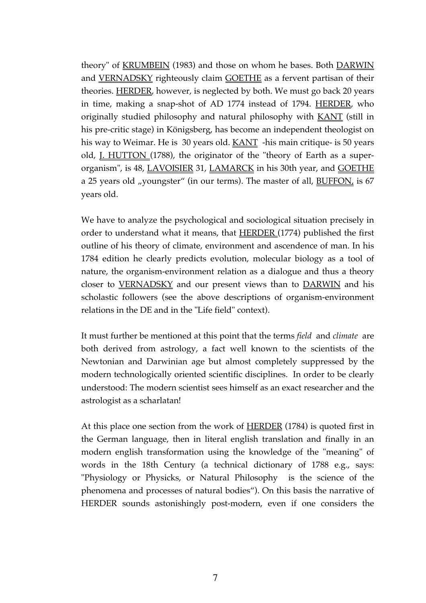theory" of **KRUMBEIN** (1983) and those on whom he bases. Both **DARWIN** and VERNADSKY righteously claim GOETHE as a fervent partisan of their theories. HERDER, however, is neglected by both. We must go back 20 years in time, making a snap-shot of AD 1774 instead of 1794. HERDER, who originally studied philosophy and natural philosophy with KANT (still in his pre-critic stage) in Königsberg, has become an independent theologist on his way to Weimar. He is 30 years old. KANT -his main critique- is 50 years old, <u>I. HUTTON</u> (1788), the originator of the "theory of Earth as a superorganism", is 48, LAVOISIER 31, LAMARCK in his 30th year, and GOETHE a 25 years old "youngster" (in our terms). The master of all, **BUFFON**, is 67 years old.

We have to analyze the psychological and sociological situation precisely in order to understand what it means, that **HERDER** (1774) published the first outline of his theory of climate, environment and ascendence of man. In his 1784 edition he clearly predicts evolution, molecular biology as a tool of nature, the organism-environment relation as a dialogue and thus a theory closer to VERNADSKY and our present views than to DARWIN and his scholastic followers (see the above descriptions of organism-environment relations in the DE and in the "Life field" context).

It must further be mentioned at this point that the terms *field* and *climate* are both derived from astrology, a fact well known to the scientists of the Newtonian and Darwinian age but almost completely suppressed by the modern technologically oriented scientific disciplines. In order to be clearly understood: The modern scientist sees himself as an exact researcher and the astrologist as a scharlatan!

At this place one section from the work of **HERDER** (1784) is quoted first in the German language, then in literal english translation and finally in an modern english transformation using the knowledge of the "meaning" of words in the 18th Century (a technical dictionary of 1788 e.g., says: "Physiology or Physicks, or Natural Philosophy is the science of the phenomena and processes of natural bodies"). On this basis the narrative of HERDER sounds astonishingly post-modern, even if one considers the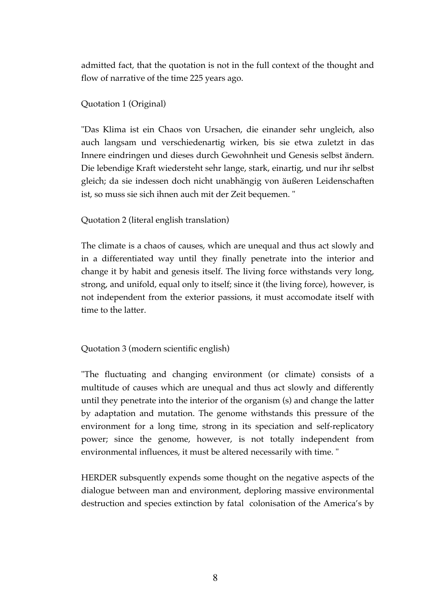admitted fact, that the quotation is not in the full context of the thought and flow of narrative of the time 225 years ago.

## Quotation 1 (Original)

"Das Klima ist ein Chaos von Ursachen, die einander sehr ungleich, also auch langsam und verschiedenartig wirken, bis sie etwa zuletzt in das Innere eindringen und dieses durch Gewohnheit und Genesis selbst ändern. Die lebendige Kraft wiedersteht sehr lange, stark, einartig, und nur ihr selbst gleich; da sie indessen doch nicht unabhängig von äußeren Leidenschaften ist, so muss sie sich ihnen auch mit der Zeit bequemen. "

# Quotation 2 (literal english translation)

The climate is a chaos of causes, which are unequal and thus act slowly and in a differentiated way until they finally penetrate into the interior and change it by habit and genesis itself. The living force withstands very long, strong, and unifold, equal only to itself; since it (the living force), however, is not independent from the exterior passions, it must accomodate itself with time to the latter.

## Quotation 3 (modern scientific english)

"The fluctuating and changing environment (or climate) consists of a multitude of causes which are unequal and thus act slowly and differently until they penetrate into the interior of the organism (s) and change the latter by adaptation and mutation. The genome withstands this pressure of the environment for a long time, strong in its speciation and self-replicatory power; since the genome, however, is not totally independent from environmental influences, it must be altered necessarily with time. "

HERDER subsquently expends some thought on the negative aspects of the dialogue between man and environment, deploring massive environmental destruction and species extinction by fatal colonisation of the America's by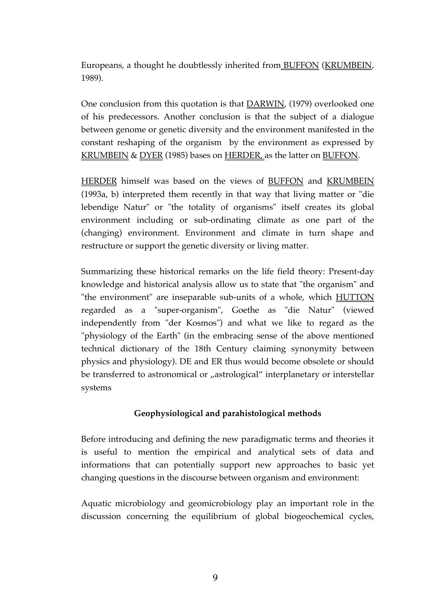Europeans, a thought he doubtlessly inherited from BUFFON (KRUMBEIN, 1989).

One conclusion from this quotation is that DARWIN, (1979) overlooked one of his predecessors. Another conclusion is that the subject of a dialogue between genome or genetic diversity and the environment manifested in the constant reshaping of the organism by the environment as expressed by KRUMBEIN & DYER (1985) bases on HERDER, as the latter on BUFFON.

HERDER himself was based on the views of BUFFON and KRUMBEIN (1993a, b) interpreted them recently in that way that living matter or "die lebendige Natur" or "the totality of organisms" itself creates its global environment including or sub-ordinating climate as one part of the (changing) environment. Environment and climate in turn shape and restructure or support the genetic diversity or living matter.

Summarizing these historical remarks on the life field theory: Present-day knowledge and historical analysis allow us to state that "the organism" and "the environment" are inseparable sub-units of a whole, which HUTTON regarded as a "super-organism", Goethe as "die Natur" (viewed independently from "der Kosmos") and what we like to regard as the "physiology of the Earth" (in the embracing sense of the above mentioned technical dictionary of the 18th Century claiming synonymity between physics and physiology). DE and ER thus would become obsolete or should be transferred to astronomical or "astrological" interplanetary or interstellar systems

# **Geophysiological and parahistological methods**

Before introducing and defining the new paradigmatic terms and theories it is useful to mention the empirical and analytical sets of data and informations that can potentially support new approaches to basic yet changing questions in the discourse between organism and environment:

Aquatic microbiology and geomicrobiology play an important role in the discussion concerning the equilibrium of global biogeochemical cycles,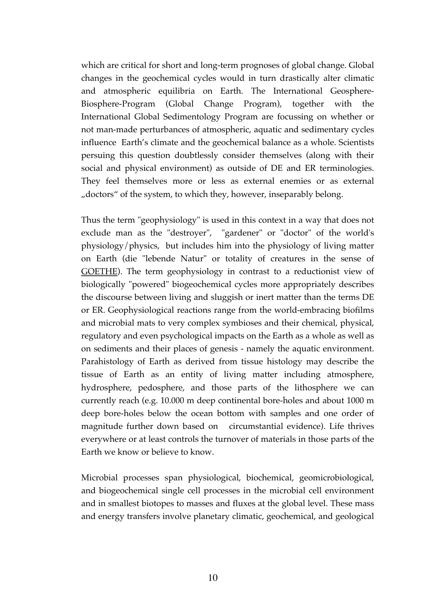which are critical for short and long-term prognoses of global change. Global changes in the geochemical cycles would in turn drastically alter climatic and atmospheric equilibria on Earth. The International Geosphere-Biosphere-Program (Global Change Program), together with the International Global Sedimentology Program are focussing on whether or not man-made perturbances of atmospheric, aquatic and sedimentary cycles influence Earth's climate and the geochemical balance as a whole. Scientists persuing this question doubtlessly consider themselves (along with their social and physical environment) as outside of DE and ER terminologies. They feel themselves more or less as external enemies or as external "doctors" of the system, to which they, however, inseparably belong.

Thus the term "geophysiology" is used in this context in a way that does not exclude man as the "destroyer", "gardener" or "doctor" of the world's physiology/physics, but includes him into the physiology of living matter on Earth (die "lebende Natur" or totality of creatures in the sense of GOETHE). The term geophysiology in contrast to a reductionist view of biologically "powered" biogeochemical cycles more appropriately describes the discourse between living and sluggish or inert matter than the terms DE or ER. Geophysiological reactions range from the world-embracing biofilms and microbial mats to very complex symbioses and their chemical, physical, regulatory and even psychological impacts on the Earth as a whole as well as on sediments and their places of genesis - namely the aquatic environment. Parahistology of Earth as derived from tissue histology may describe the tissue of Earth as an entity of living matter including atmosphere, hydrosphere, pedosphere, and those parts of the lithosphere we can currently reach (e.g. 10.000 m deep continental bore-holes and about 1000 m deep bore-holes below the ocean bottom with samples and one order of magnitude further down based on circumstantial evidence). Life thrives everywhere or at least controls the turnover of materials in those parts of the Earth we know or believe to know.

Microbial processes span physiological, biochemical, geomicrobiological, and biogeochemical single cell processes in the microbial cell environment and in smallest biotopes to masses and fluxes at the global level. These mass and energy transfers involve planetary climatic, geochemical, and geological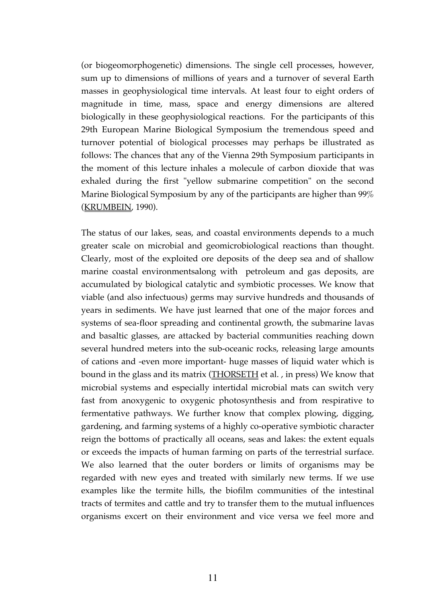(or biogeomorphogenetic) dimensions. The single cell processes, however, sum up to dimensions of millions of years and a turnover of several Earth masses in geophysiological time intervals. At least four to eight orders of magnitude in time, mass, space and energy dimensions are altered biologically in these geophysiological reactions. For the participants of this 29th European Marine Biological Symposium the tremendous speed and turnover potential of biological processes may perhaps be illustrated as follows: The chances that any of the Vienna 29th Symposium participants in the moment of this lecture inhales a molecule of carbon dioxide that was exhaled during the first "yellow submarine competition" on the second Marine Biological Symposium by any of the participants are higher than 99% (KRUMBEIN, 1990).

The status of our lakes, seas, and coastal environments depends to a much greater scale on microbial and geomicrobiological reactions than thought. Clearly, most of the exploited ore deposits of the deep sea and of shallow marine coastal environmentsalong with petroleum and gas deposits, are accumulated by biological catalytic and symbiotic processes. We know that viable (and also infectuous) germs may survive hundreds and thousands of years in sediments. We have just learned that one of the major forces and systems of sea-floor spreading and continental growth, the submarine lavas and basaltic glasses, are attacked by bacterial communities reaching down several hundred meters into the sub-oceanic rocks, releasing large amounts of cations and -even more important- huge masses of liquid water which is bound in the glass and its matrix (THORSETH et al. , in press) We know that microbial systems and especially intertidal microbial mats can switch very fast from anoxygenic to oxygenic photosynthesis and from respirative to fermentative pathways. We further know that complex plowing, digging, gardening, and farming systems of a highly co-operative symbiotic character reign the bottoms of practically all oceans, seas and lakes: the extent equals or exceeds the impacts of human farming on parts of the terrestrial surface. We also learned that the outer borders or limits of organisms may be regarded with new eyes and treated with similarly new terms. If we use examples like the termite hills, the biofilm communities of the intestinal tracts of termites and cattle and try to transfer them to the mutual influences organisms excert on their environment and vice versa we feel more and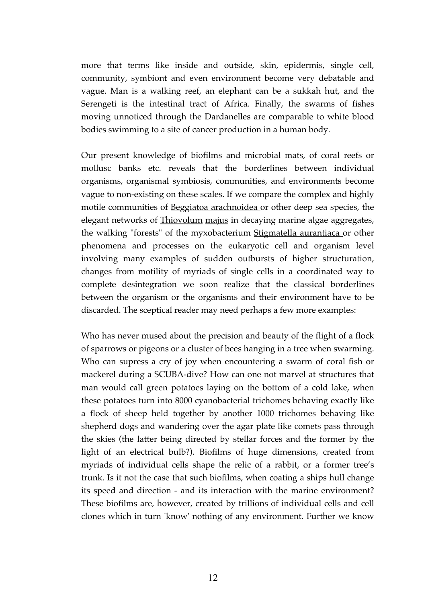more that terms like inside and outside, skin, epidermis, single cell, community, symbiont and even environment become very debatable and vague. Man is a walking reef, an elephant can be a sukkah hut, and the Serengeti is the intestinal tract of Africa. Finally, the swarms of fishes moving unnoticed through the Dardanelles are comparable to white blood bodies swimming to a site of cancer production in a human body.

Our present knowledge of biofilms and microbial mats, of coral reefs or mollusc banks etc. reveals that the borderlines between individual organisms, organismal symbiosis, communities, and environments become vague to non-existing on these scales. If we compare the complex and highly motile communities of Beggiatoa arachnoidea or other deep sea species, the elegant networks of Thiovolum majus in decaying marine algae aggregates, the walking "forests" of the myxobacterium Stigmatella aurantiaca or other phenomena and processes on the eukaryotic cell and organism level involving many examples of sudden outbursts of higher structuration, changes from motility of myriads of single cells in a coordinated way to complete desintegration we soon realize that the classical borderlines between the organism or the organisms and their environment have to be discarded. The sceptical reader may need perhaps a few more examples:

Who has never mused about the precision and beauty of the flight of a flock of sparrows or pigeons or a cluster of bees hanging in a tree when swarming. Who can supress a cry of joy when encountering a swarm of coral fish or mackerel during a SCUBA-dive? How can one not marvel at structures that man would call green potatoes laying on the bottom of a cold lake, when these potatoes turn into 8000 cyanobacterial trichomes behaving exactly like a flock of sheep held together by another 1000 trichomes behaving like shepherd dogs and wandering over the agar plate like comets pass through the skies (the latter being directed by stellar forces and the former by the light of an electrical bulb?). Biofilms of huge dimensions, created from myriads of individual cells shape the relic of a rabbit, or a former tree's trunk. Is it not the case that such biofilms, when coating a ships hull change its speed and direction - and its interaction with the marine environment? These biofilms are, however, created by trillions of individual cells and cell clones which in turn 'know' nothing of any environment. Further we know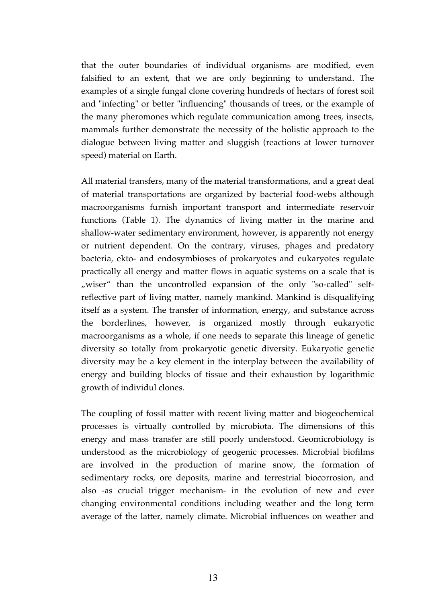that the outer boundaries of individual organisms are modified, even falsified to an extent, that we are only beginning to understand. The examples of a single fungal clone covering hundreds of hectars of forest soil and "infecting" or better "influencing" thousands of trees, or the example of the many pheromones which regulate communication among trees, insects, mammals further demonstrate the necessity of the holistic approach to the dialogue between living matter and sluggish (reactions at lower turnover speed) material on Earth.

All material transfers, many of the material transformations, and a great deal of material transportations are organized by bacterial food-webs although macroorganisms furnish important transport and intermediate reservoir functions (Table 1). The dynamics of living matter in the marine and shallow-water sedimentary environment, however, is apparently not energy or nutrient dependent. On the contrary, viruses, phages and predatory bacteria, ekto- and endosymbioses of prokaryotes and eukaryotes regulate practically all energy and matter flows in aquatic systems on a scale that is "wiser" than the uncontrolled expansion of the only "so-called" selfreflective part of living matter, namely mankind. Mankind is disqualifying itself as a system. The transfer of information, energy, and substance across the borderlines, however, is organized mostly through eukaryotic macroorganisms as a whole, if one needs to separate this lineage of genetic diversity so totally from prokaryotic genetic diversity. Eukaryotic genetic diversity may be a key element in the interplay between the availability of energy and building blocks of tissue and their exhaustion by logarithmic growth of individul clones.

The coupling of fossil matter with recent living matter and biogeochemical processes is virtually controlled by microbiota. The dimensions of this energy and mass transfer are still poorly understood. Geomicrobiology is understood as the microbiology of geogenic processes. Microbial biofilms are involved in the production of marine snow, the formation of sedimentary rocks, ore deposits, marine and terrestrial biocorrosion, and also -as crucial trigger mechanism- in the evolution of new and ever changing environmental conditions including weather and the long term average of the latter, namely climate. Microbial influences on weather and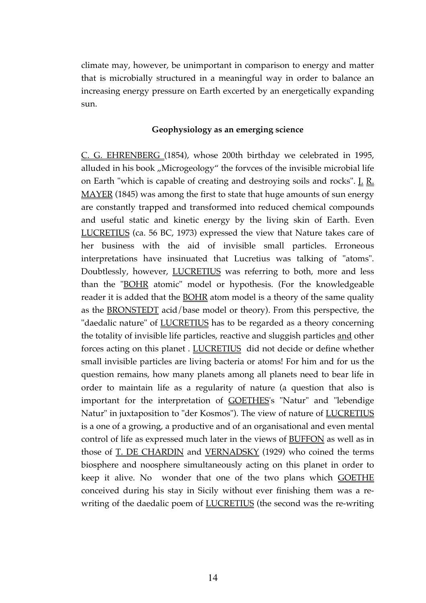climate may, however, be unimportant in comparison to energy and matter that is microbially structured in a meaningful way in order to balance an increasing energy pressure on Earth excerted by an energetically expanding sun.

## **Geophysiology as an emerging science**

C. G. EHRENBERG (1854), whose 200th birthday we celebrated in 1995, alluded in his book "Microgeology" the forvces of the invisible microbial life on Earth "which is capable of creating and destroying soils and rocks".  $\underline{L} \underline{R}$ . MAYER (1845) was among the first to state that huge amounts of sun energy are constantly trapped and transformed into reduced chemical compounds and useful static and kinetic energy by the living skin of Earth. Even LUCRETIUS (ca. 56 BC, 1973) expressed the view that Nature takes care of her business with the aid of invisible small particles. Erroneous interpretations have insinuated that Lucretius was talking of "atoms". Doubtlessly, however, LUCRETIUS was referring to both, more and less than the "BOHR atomic" model or hypothesis. (For the knowledgeable reader it is added that the **BOHR** atom model is a theory of the same quality as the BRONSTEDT acid/base model or theory). From this perspective, the "daedalic nature" of **LUCRETIUS** has to be regarded as a theory concerning the totality of invisible life particles, reactive and sluggish particles and other forces acting on this planet . LUCRETIUS did not decide or define whether small invisible particles are living bacteria or atoms! For him and for us the question remains, how many planets among all planets need to bear life in order to maintain life as a regularity of nature (a question that also is important for the interpretation of GOETHES's "Natur" and "lebendige Natur" in juxtaposition to "der Kosmos"). The view of nature of LUCRETIUS is a one of a growing, a productive and of an organisational and even mental control of life as expressed much later in the views of BUFFON as well as in those of T. DE CHARDIN and VERNADSKY (1929) who coined the terms biosphere and noosphere simultaneously acting on this planet in order to keep it alive. No wonder that one of the two plans which **GOETHE** conceived during his stay in Sicily without ever finishing them was a rewriting of the daedalic poem of **LUCRETIUS** (the second was the re-writing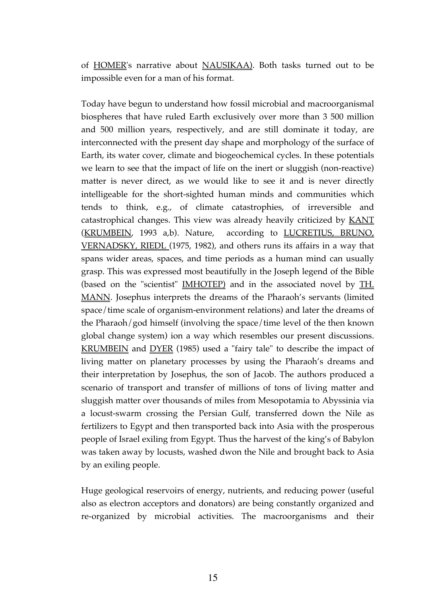of HOMER's narrative about NAUSIKAA). Both tasks turned out to be impossible even for a man of his format.

Today have begun to understand how fossil microbial and macroorganismal biospheres that have ruled Earth exclusively over more than 3 500 million and 500 million years, respectively, and are still dominate it today, are interconnected with the present day shape and morphology of the surface of Earth, its water cover, climate and biogeochemical cycles. In these potentials we learn to see that the impact of life on the inert or sluggish (non-reactive) matter is never direct, as we would like to see it and is never directly intelligeable for the short-sighted human minds and communities which tends to think, e.g., of climate catastrophies, of irreversible and catastrophical changes. This view was already heavily criticized by KANT (KRUMBEIN, 1993 a,b). Nature, according to LUCRETIUS, BRUNO, VERNADSKY, RIEDL (1975, 1982), and others runs its affairs in a way that spans wider areas, spaces, and time periods as a human mind can usually grasp. This was expressed most beautifully in the Joseph legend of the Bible (based on the "scientist" IMHOTEP) and in the associated novel by TH. MANN. Josephus interprets the dreams of the Pharaoh's servants (limited space/time scale of organism-environment relations) and later the dreams of the Pharaoh/god himself (involving the space/time level of the then known global change system) ion a way which resembles our present discussions. KRUMBEIN and DYER (1985) used a "fairy tale" to describe the impact of living matter on planetary processes by using the Pharaoh's dreams and their interpretation by Josephus, the son of Jacob. The authors produced a scenario of transport and transfer of millions of tons of living matter and sluggish matter over thousands of miles from Mesopotamia to Abyssinia via a locust-swarm crossing the Persian Gulf, transferred down the Nile as fertilizers to Egypt and then transported back into Asia with the prosperous people of Israel exiling from Egypt. Thus the harvest of the king's of Babylon was taken away by locusts, washed dwon the Nile and brought back to Asia by an exiling people.

Huge geological reservoirs of energy, nutrients, and reducing power (useful also as electron acceptors and donators) are being constantly organized and re-organized by microbial activities. The macroorganisms and their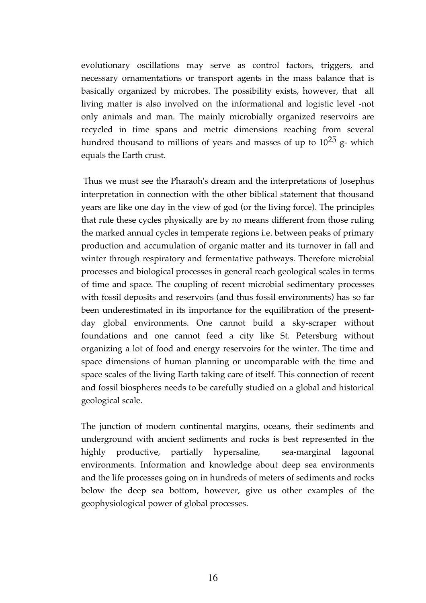evolutionary oscillations may serve as control factors, triggers, and necessary ornamentations or transport agents in the mass balance that is basically organized by microbes. The possibility exists, however, that all living matter is also involved on the informational and logistic level -not only animals and man. The mainly microbially organized reservoirs are recycled in time spans and metric dimensions reaching from several hundred thousand to millions of years and masses of up to  $10^{25}$  g- which equals the Earth crust.

 Thus we must see the Pharaoh's dream and the interpretations of Josephus interpretation in connection with the other biblical statement that thousand years are like one day in the view of god (or the living force). The principles that rule these cycles physically are by no means different from those ruling the marked annual cycles in temperate regions i.e. between peaks of primary production and accumulation of organic matter and its turnover in fall and winter through respiratory and fermentative pathways. Therefore microbial processes and biological processes in general reach geological scales in terms of time and space. The coupling of recent microbial sedimentary processes with fossil deposits and reservoirs (and thus fossil environments) has so far been underestimated in its importance for the equilibration of the presentday global environments. One cannot build a sky-scraper without foundations and one cannot feed a city like St. Petersburg without organizing a lot of food and energy reservoirs for the winter. The time and space dimensions of human planning or uncomparable with the time and space scales of the living Earth taking care of itself. This connection of recent and fossil biospheres needs to be carefully studied on a global and historical geological scale.

The junction of modern continental margins, oceans, their sediments and underground with ancient sediments and rocks is best represented in the highly productive, partially hypersaline, sea-marginal lagoonal environments. Information and knowledge about deep sea environments and the life processes going on in hundreds of meters of sediments and rocks below the deep sea bottom, however, give us other examples of the geophysiological power of global processes.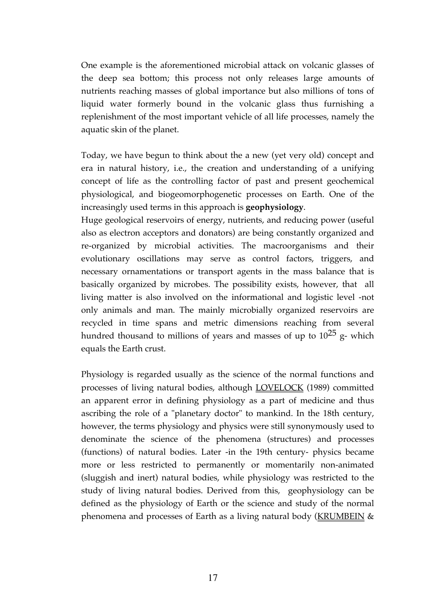One example is the aforementioned microbial attack on volcanic glasses of the deep sea bottom; this process not only releases large amounts of nutrients reaching masses of global importance but also millions of tons of liquid water formerly bound in the volcanic glass thus furnishing a replenishment of the most important vehicle of all life processes, namely the aquatic skin of the planet.

Today, we have begun to think about the a new (yet very old) concept and era in natural history, i.e., the creation and understanding of a unifying concept of life as the controlling factor of past and present geochemical physiological, and biogeomorphogenetic processes on Earth. One of the increasingly used terms in this approach is **geophysiology**.

Huge geological reservoirs of energy, nutrients, and reducing power (useful also as electron acceptors and donators) are being constantly organized and re-organized by microbial activities. The macroorganisms and their evolutionary oscillations may serve as control factors, triggers, and necessary ornamentations or transport agents in the mass balance that is basically organized by microbes. The possibility exists, however, that all living matter is also involved on the informational and logistic level -not only animals and man. The mainly microbially organized reservoirs are recycled in time spans and metric dimensions reaching from several hundred thousand to millions of years and masses of up to  $10^{25}$  g- which equals the Earth crust.

Physiology is regarded usually as the science of the normal functions and processes of living natural bodies, although LOVELOCK (1989) committed an apparent error in defining physiology as a part of medicine and thus ascribing the role of a "planetary doctor" to mankind. In the 18th century, however, the terms physiology and physics were still synonymously used to denominate the science of the phenomena (structures) and processes (functions) of natural bodies. Later -in the 19th century- physics became more or less restricted to permanently or momentarily non-animated (sluggish and inert) natural bodies, while physiology was restricted to the study of living natural bodies. Derived from this, geophysiology can be defined as the physiology of Earth or the science and study of the normal phenomena and processes of Earth as a living natural body (KRUMBEIN &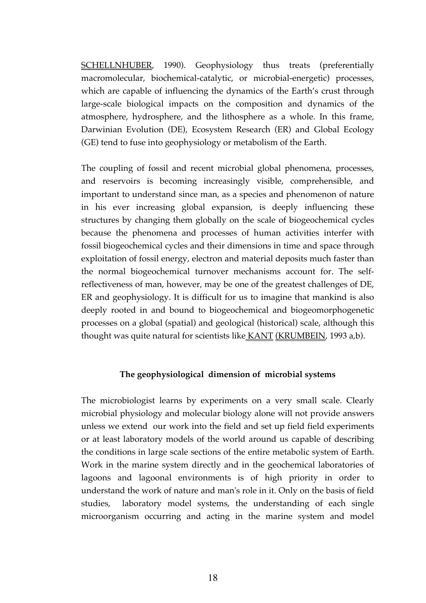SCHELLNHUBER, 1990). Geophysiology thus treats (preferentially macromolecular, biochemical-catalytic, or microbial-energetic) processes, which are capable of influencing the dynamics of the Earth's crust through large-scale biological impacts on the composition and dynamics of the atmosphere, hydrosphere, and the lithosphere as a whole. In this frame, Darwinian Evolution (DE), Ecosystem Research (ER) and Global Ecology (GE) tend to fuse into geophysiology or metabolism of the Earth.

The coupling of fossil and recent microbial global phenomena, processes, and reservoirs is becoming increasingly visible, comprehensible, and important to understand since man, as a species and phenomenon of nature in his ever increasing global expansion, is deeply influencing these structures by changing them globally on the scale of biogeochemical cycles because the phenomena and processes of human activities interfer with fossil biogeochemical cycles and their dimensions in time and space through exploitation of fossil energy, electron and material deposits much faster than the normal biogeochemical turnover mechanisms account for. The selfreflectiveness of man, however, may be one of the greatest challenges of DE, ER and geophysiology. It is difficult for us to imagine that mankind is also deeply rooted in and bound to biogeochemical and biogeomorphogenetic processes on a global (spatial) and geological (historical) scale, although this thought was quite natural for scientists like KANT (KRUMBEIN, 1993 a,b).

#### **The geophysiological dimension of microbial systems**

The microbiologist learns by experiments on a very small scale. Clearly microbial physiology and molecular biology alone will not provide answers unless we extend our work into the field and set up field field experiments or at least laboratory models of the world around us capable of describing the conditions in large scale sections of the entire metabolic system of Earth. Work in the marine system directly and in the geochemical laboratories of lagoons and lagoonal environments is of high priority in order to understand the work of nature and man's role in it. Only on the basis of field studies, laboratory model systems, the understanding of each single microorganism occurring and acting in the marine system and model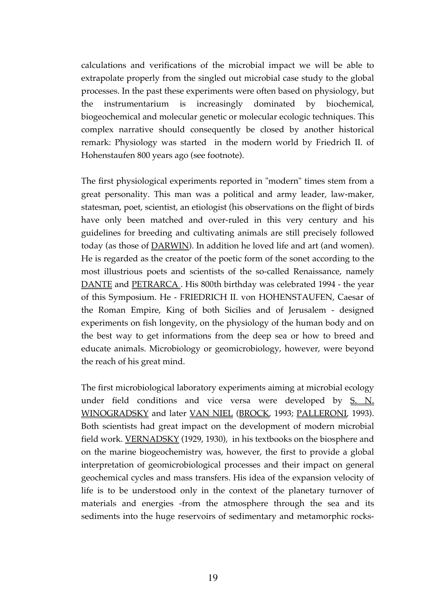calculations and verifications of the microbial impact we will be able to extrapolate properly from the singled out microbial case study to the global processes. In the past these experiments were often based on physiology, but the instrumentarium is increasingly dominated by biochemical, biogeochemical and molecular genetic or molecular ecologic techniques. This complex narrative should consequently be closed by another historical remark: Physiology was started in the modern world by Friedrich II. of Hohenstaufen 800 years ago (see footnote).

The first physiological experiments reported in "modern" times stem from a great personality. This man was a political and army leader, law-maker, statesman, poet, scientist, an etiologist (his observations on the flight of birds have only been matched and over-ruled in this very century and his guidelines for breeding and cultivating animals are still precisely followed today (as those of DARWIN). In addition he loved life and art (and women). He is regarded as the creator of the poetic form of the sonet according to the most illustrious poets and scientists of the so-called Renaissance, namely DANTE and PETRARCA . His 800th birthday was celebrated 1994 - the year of this Symposium. He - FRIEDRICH II. von HOHENSTAUFEN, Caesar of the Roman Empire, King of both Sicilies and of Jerusalem - designed experiments on fish longevity, on the physiology of the human body and on the best way to get informations from the deep sea or how to breed and educate animals. Microbiology or geomicrobiology, however, were beyond the reach of his great mind.

The first microbiological laboratory experiments aiming at microbial ecology under field conditions and vice versa were developed by S. N. WINOGRADSKY and later VAN NIEL (BROCK, 1993; PALLERONI, 1993). Both scientists had great impact on the development of modern microbial field work. VERNADSKY (1929, 1930), in his textbooks on the biosphere and on the marine biogeochemistry was, however, the first to provide a global interpretation of geomicrobiological processes and their impact on general geochemical cycles and mass transfers. His idea of the expansion velocity of life is to be understood only in the context of the planetary turnover of materials and energies -from the atmosphere through the sea and its sediments into the huge reservoirs of sedimentary and metamorphic rocks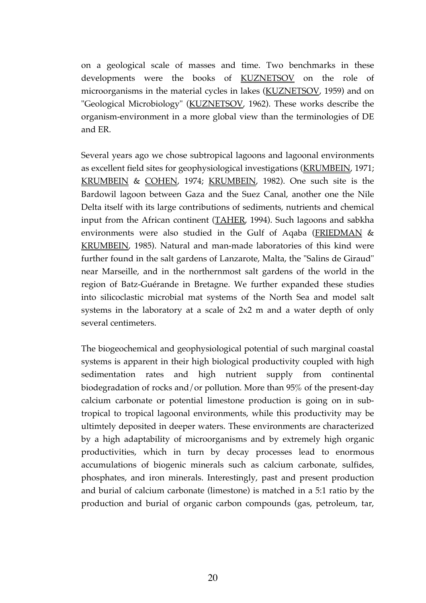on a geological scale of masses and time. Two benchmarks in these developments were the books of **KUZNETSOV** on the role of microorganisms in the material cycles in lakes (KUZNETSOV, 1959) and on "Geological Microbiology" (KUZNETSOV, 1962). These works describe the organism-environment in a more global view than the terminologies of DE and ER.

Several years ago we chose subtropical lagoons and lagoonal environments as excellent field sites for geophysiological investigations (KRUMBEIN, 1971; KRUMBEIN & COHEN, 1974; KRUMBEIN, 1982). One such site is the Bardowil lagoon between Gaza and the Suez Canal, another one the Nile Delta itself with its large contributions of sediments, nutrients and chemical input from the African continent (TAHER, 1994). Such lagoons and sabkha environments were also studied in the Gulf of Aqaba (FRIEDMAN & KRUMBEIN, 1985). Natural and man-made laboratories of this kind were further found in the salt gardens of Lanzarote, Malta, the "Salins de Giraud" near Marseille, and in the northernmost salt gardens of the world in the region of Batz-Guérande in Bretagne. We further expanded these studies into silicoclastic microbial mat systems of the North Sea and model salt systems in the laboratory at a scale of 2x2 m and a water depth of only several centimeters.

The biogeochemical and geophysiological potential of such marginal coastal systems is apparent in their high biological productivity coupled with high sedimentation rates and high nutrient supply from continental biodegradation of rocks and/or pollution. More than 95% of the present-day calcium carbonate or potential limestone production is going on in subtropical to tropical lagoonal environments, while this productivity may be ultimtely deposited in deeper waters. These environments are characterized by a high adaptability of microorganisms and by extremely high organic productivities, which in turn by decay processes lead to enormous accumulations of biogenic minerals such as calcium carbonate, sulfides, phosphates, and iron minerals. Interestingly, past and present production and burial of calcium carbonate (limestone) is matched in a 5:1 ratio by the production and burial of organic carbon compounds (gas, petroleum, tar,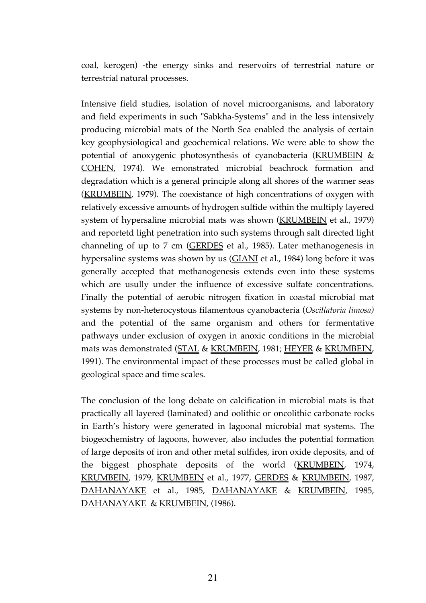coal, kerogen) -the energy sinks and reservoirs of terrestrial nature or terrestrial natural processes.

Intensive field studies, isolation of novel microorganisms, and laboratory and field experiments in such "Sabkha-Systems" and in the less intensively producing microbial mats of the North Sea enabled the analysis of certain key geophysiological and geochemical relations. We were able to show the potential of anoxygenic photosynthesis of cyanobacteria (KRUMBEIN & COHEN, 1974). We emonstrated microbial beachrock formation and degradation which is a general principle along all shores of the warmer seas (KRUMBEIN, 1979). The coexistance of high concentrations of oxygen with relatively excessive amounts of hydrogen sulfide within the multiply layered system of hypersaline microbial mats was shown (KRUMBEIN et al., 1979) and reportetd light penetration into such systems through salt directed light channeling of up to 7 cm (GERDES et al., 1985). Later methanogenesis in hypersaline systems was shown by us (GIANI et al., 1984) long before it was generally accepted that methanogenesis extends even into these systems which are usully under the influence of excessive sulfate concentrations. Finally the potential of aerobic nitrogen fixation in coastal microbial mat systems by non-heterocystous filamentous cyanobacteria (*Oscillatoria limosa)* and the potential of the same organism and others for fermentative pathways under exclusion of oxygen in anoxic conditions in the microbial mats was demonstrated (STAL & KRUMBEIN, 1981; HEYER & KRUMBEIN, 1991). The environmental impact of these processes must be called global in geological space and time scales.

The conclusion of the long debate on calcification in microbial mats is that practically all layered (laminated) and oolithic or oncolithic carbonate rocks in Earth's history were generated in lagoonal microbial mat systems. The biogeochemistry of lagoons, however, also includes the potential formation of large deposits of iron and other metal sulfides, iron oxide deposits, and of the biggest phosphate deposits of the world (KRUMBEIN, 1974, KRUMBEIN, 1979, KRUMBEIN et al., 1977, GERDES & KRUMBEIN, 1987, DAHANAYAKE et al., 1985, DAHANAYAKE & KRUMBEIN, 1985, DAHANAYAKE & KRUMBEIN, (1986).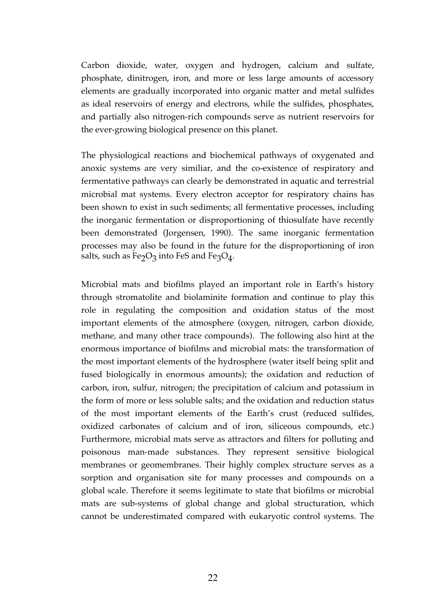Carbon dioxide, water, oxygen and hydrogen, calcium and sulfate, phosphate, dinitrogen, iron, and more or less large amounts of accessory elements are gradually incorporated into organic matter and metal sulfides as ideal reservoirs of energy and electrons, while the sulfides, phosphates, and partially also nitrogen-rich compounds serve as nutrient reservoirs for the ever-growing biological presence on this planet.

The physiological reactions and biochemical pathways of oxygenated and anoxic systems are very similiar, and the co-existence of respiratory and fermentative pathways can clearly be demonstrated in aquatic and terrestrial microbial mat systems. Every electron acceptor for respiratory chains has been shown to exist in such sediments; all fermentative processes, including the inorganic fermentation or disproportioning of thiosulfate have recently been demonstrated (Jorgensen, 1990). The same inorganic fermentation processes may also be found in the future for the disproportioning of iron salts, such as Fe<sub>2</sub>O<sub>3</sub> into FeS and Fe<sub>3</sub>O<sub>4</sub>.

Microbial mats and biofilms played an important role in Earth's history through stromatolite and biolaminite formation and continue to play this role in regulating the composition and oxidation status of the most important elements of the atmosphere (oxygen, nitrogen, carbon dioxide, methane, and many other trace compounds). The following also hint at the enormous importance of biofilms and microbial mats: the transformation of the most important elements of the hydrosphere (water itself being split and fused biologically in enormous amounts); the oxidation and reduction of carbon, iron, sulfur, nitrogen; the precipitation of calcium and potassium in the form of more or less soluble salts; and the oxidation and reduction status of the most important elements of the Earth's crust (reduced sulfides, oxidized carbonates of calcium and of iron, siliceous compounds, etc.) Furthermore, microbial mats serve as attractors and filters for polluting and poisonous man-made substances. They represent sensitive biological membranes or geomembranes. Their highly complex structure serves as a sorption and organisation site for many processes and compounds on a global scale. Therefore it seems legitimate to state that biofilms or microbial mats are sub-systems of global change and global structuration, which cannot be underestimated compared with eukaryotic control systems. The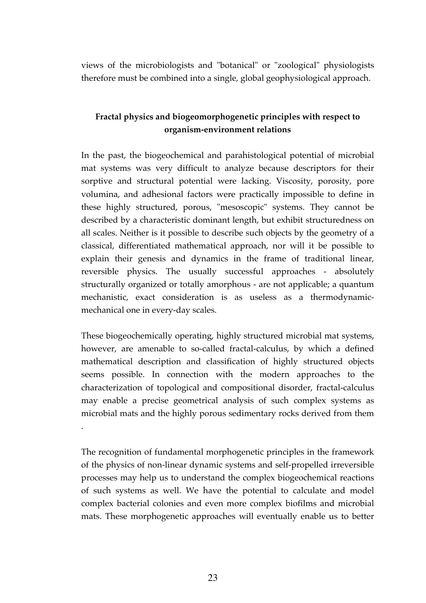views of the microbiologists and "botanical" or "zoological" physiologists therefore must be combined into a single, global geophysiological approach.

# **Fractal physics and biogeomorphogenetic principles with respect to organism-environment relations**

In the past, the biogeochemical and parahistological potential of microbial mat systems was very difficult to analyze because descriptors for their sorptive and structural potential were lacking. Viscosity, porosity, pore volumina, and adhesional factors were practically impossible to define in these highly structured, porous, "mesoscopic" systems. They cannot be described by a characteristic dominant length, but exhibit structuredness on all scales. Neither is it possible to describe such objects by the geometry of a classical, differentiated mathematical approach, nor will it be possible to explain their genesis and dynamics in the frame of traditional linear, reversible physics. The usually successful approaches - absolutely structurally organized or totally amorphous - are not applicable; a quantum mechanistic, exact consideration is as useless as a thermodynamicmechanical one in every-day scales.

These biogeochemically operating, highly structured microbial mat systems, however, are amenable to so-called fractal-calculus, by which a defined mathematical description and classification of highly structured objects seems possible. In connection with the modern approaches to the characterization of topological and compositional disorder, fractal-calculus may enable a precise geometrical analysis of such complex systems as microbial mats and the highly porous sedimentary rocks derived from them .

The recognition of fundamental morphogenetic principles in the framework of the physics of non-linear dynamic systems and self-propelled irreversible processes may help us to understand the complex biogeochemical reactions of such systems as well. We have the potential to calculate and model complex bacterial colonies and even more complex biofilms and microbial mats. These morphogenetic approaches will eventually enable us to better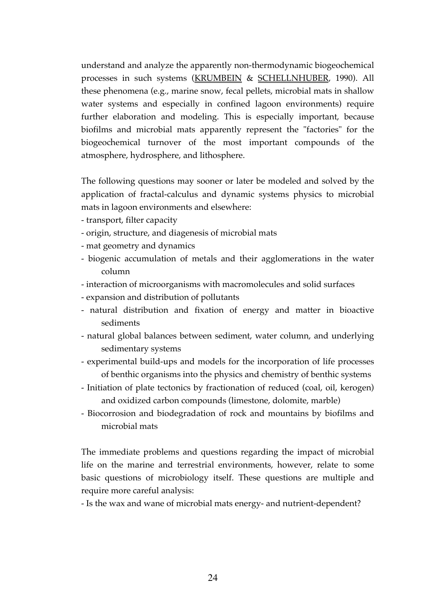understand and analyze the apparently non-thermodynamic biogeochemical processes in such systems (KRUMBEIN & SCHELLNHUBER, 1990). All these phenomena (e.g., marine snow, fecal pellets, microbial mats in shallow water systems and especially in confined lagoon environments) require further elaboration and modeling. This is especially important, because biofilms and microbial mats apparently represent the "factories" for the biogeochemical turnover of the most important compounds of the atmosphere, hydrosphere, and lithosphere.

The following questions may sooner or later be modeled and solved by the application of fractal-calculus and dynamic systems physics to microbial mats in lagoon environments and elsewhere:

- transport, filter capacity
- origin, structure, and diagenesis of microbial mats
- mat geometry and dynamics
- biogenic accumulation of metals and their agglomerations in the water column
- interaction of microorganisms with macromolecules and solid surfaces
- expansion and distribution of pollutants
- natural distribution and fixation of energy and matter in bioactive sediments
- natural global balances between sediment, water column, and underlying sedimentary systems
- experimental build-ups and models for the incorporation of life processes of benthic organisms into the physics and chemistry of benthic systems
- Initiation of plate tectonics by fractionation of reduced (coal, oil, kerogen) and oxidized carbon compounds (limestone, dolomite, marble)
- Biocorrosion and biodegradation of rock and mountains by biofilms and microbial mats

The immediate problems and questions regarding the impact of microbial life on the marine and terrestrial environments, however, relate to some basic questions of microbiology itself. These questions are multiple and require more careful analysis:

- Is the wax and wane of microbial mats energy- and nutrient-dependent?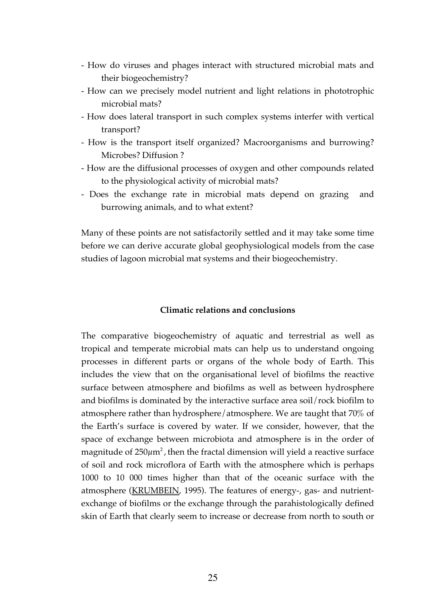- How do viruses and phages interact with structured microbial mats and their biogeochemistry?
- How can we precisely model nutrient and light relations in phototrophic microbial mats?
- How does lateral transport in such complex systems interfer with vertical transport?
- How is the transport itself organized? Macroorganisms and burrowing? Microbes? Diffusion ?
- How are the diffusional processes of oxygen and other compounds related to the physiological activity of microbial mats?
- Does the exchange rate in microbial mats depend on grazing and burrowing animals, and to what extent?

Many of these points are not satisfactorily settled and it may take some time before we can derive accurate global geophysiological models from the case studies of lagoon microbial mat systems and their biogeochemistry.

# **Climatic relations and conclusions**

The comparative biogeochemistry of aquatic and terrestrial as well as tropical and temperate microbial mats can help us to understand ongoing processes in different parts or organs of the whole body of Earth. This includes the view that on the organisational level of biofilms the reactive surface between atmosphere and biofilms as well as between hydrosphere and biofilms is dominated by the interactive surface area soil/rock biofilm to atmosphere rather than hydrosphere/atmosphere. We are taught that 70% of the Earth's surface is covered by water. If we consider, however, that the space of exchange between microbiota and atmosphere is in the order of magnitude of  $250\mu m^2$ , then the fractal dimension will yield a reactive surface of soil and rock microflora of Earth with the atmosphere which is perhaps 1000 to 10 000 times higher than that of the oceanic surface with the atmosphere (KRUMBEIN, 1995). The features of energy-, gas- and nutrientexchange of biofilms or the exchange through the parahistologically defined skin of Earth that clearly seem to increase or decrease from north to south or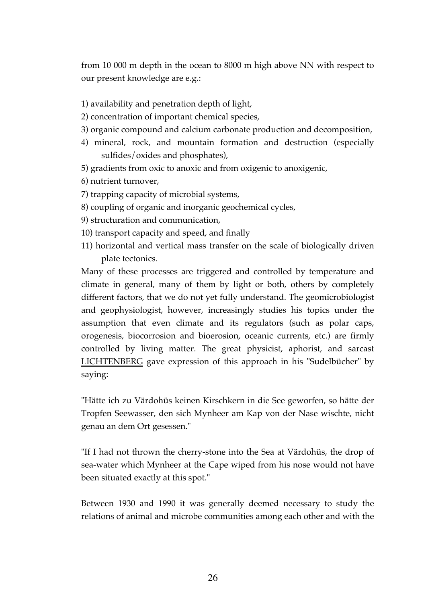from 10 000 m depth in the ocean to 8000 m high above NN with respect to our present knowledge are e.g.:

- 1) availability and penetration depth of light,
- 2) concentration of important chemical species,
- 3) organic compound and calcium carbonate production and decomposition,
- 4) mineral, rock, and mountain formation and destruction (especially sulfides/oxides and phosphates),
- 5) gradients from oxic to anoxic and from oxigenic to anoxigenic,
- 6) nutrient turnover,
- 7) trapping capacity of microbial systems,
- 8) coupling of organic and inorganic geochemical cycles,
- 9) structuration and communication,
- 10) transport capacity and speed, and finally
- 11) horizontal and vertical mass transfer on the scale of biologically driven plate tectonics.

Many of these processes are triggered and controlled by temperature and climate in general, many of them by light or both, others by completely different factors, that we do not yet fully understand. The geomicrobiologist and geophysiologist, however, increasingly studies his topics under the assumption that even climate and its regulators (such as polar caps, orogenesis, biocorrosion and bioerosion, oceanic currents, etc.) are firmly controlled by living matter. The great physicist, aphorist, and sarcast LICHTENBERG gave expression of this approach in his "Sudelbücher" by saying:

"Hätte ich zu Värdohüs keinen Kirschkern in die See geworfen, so hätte der Tropfen Seewasser, den sich Mynheer am Kap von der Nase wischte, nicht genau an dem Ort gesessen."

"If I had not thrown the cherry-stone into the Sea at Värdohüs, the drop of sea-water which Mynheer at the Cape wiped from his nose would not have been situated exactly at this spot."

Between 1930 and 1990 it was generally deemed necessary to study the relations of animal and microbe communities among each other and with the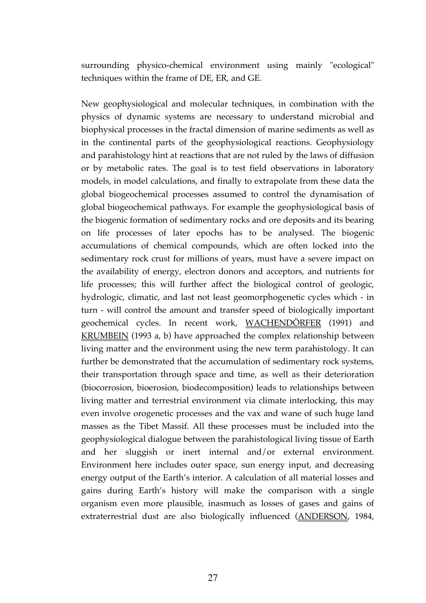surrounding physico-chemical environment using mainly "ecological" techniques within the frame of DE, ER, and GE.

New geophysiological and molecular techniques, in combination with the physics of dynamic systems are necessary to understand microbial and biophysical processes in the fractal dimension of marine sediments as well as in the continental parts of the geophysiological reactions. Geophysiology and parahistology hint at reactions that are not ruled by the laws of diffusion or by metabolic rates. The goal is to test field observations in laboratory models, in model calculations, and finally to extrapolate from these data the global biogeochemical processes assumed to control the dynamisation of global biogeochemical pathways. For example the geophysiological basis of the biogenic formation of sedimentary rocks and ore deposits and its bearing on life processes of later epochs has to be analysed. The biogenic accumulations of chemical compounds, which are often locked into the sedimentary rock crust for millions of years, must have a severe impact on the availability of energy, electron donors and acceptors, and nutrients for life processes; this will further affect the biological control of geologic, hydrologic, climatic, and last not least geomorphogenetic cycles which - in turn - will control the amount and transfer speed of biologically important geochemical cycles. In recent work, WACHENDÖRFER (1991) and KRUMBEIN (1993 a, b) have approached the complex relationship between living matter and the environment using the new term parahistology. It can further be demonstrated that the accumulation of sedimentary rock systems, their transportation through space and time, as well as their deterioration (biocorrosion, bioerosion, biodecomposition) leads to relationships between living matter and terrestrial environment via climate interlocking, this may even involve orogenetic processes and the vax and wane of such huge land masses as the Tibet Massif. All these processes must be included into the geophysiological dialogue between the parahistological living tissue of Earth and her sluggish or inert internal and/or external environment. Environment here includes outer space, sun energy input, and decreasing energy output of the Earth's interior. A calculation of all material losses and gains during Earth's history will make the comparison with a single organism even more plausible, inasmuch as losses of gases and gains of extraterrestrial dust are also biologically influenced (ANDERSON, 1984,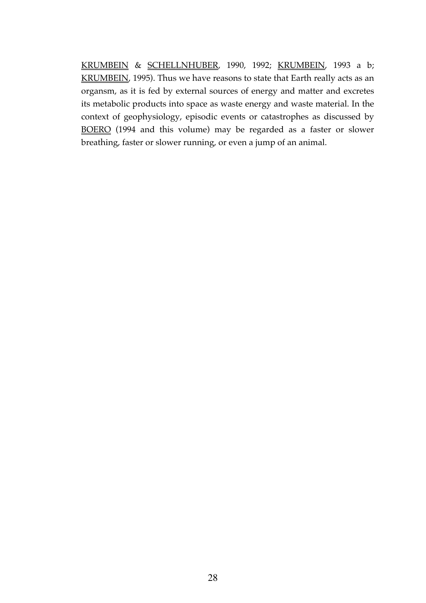KRUMBEIN & SCHELLNHUBER, 1990, 1992; KRUMBEIN, 1993 a b; KRUMBEIN, 1995). Thus we have reasons to state that Earth really acts as an organsm, as it is fed by external sources of energy and matter and excretes its metabolic products into space as waste energy and waste material. In the context of geophysiology, episodic events or catastrophes as discussed by BOERO (1994 and this volume) may be regarded as a faster or slower breathing, faster or slower running, or even a jump of an animal.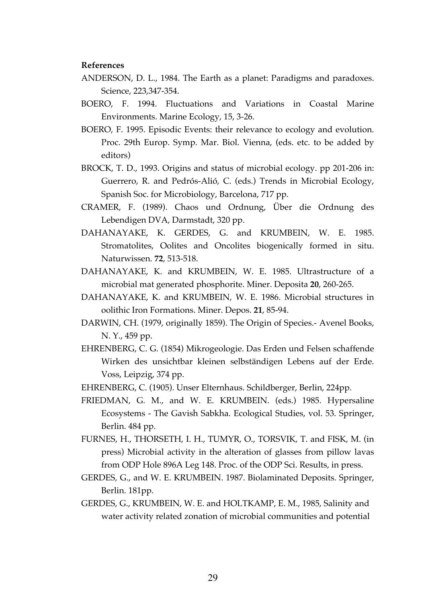#### **References**

- ANDERSON, D. L., 1984. The Earth as a planet: Paradigms and paradoxes. Science, 223,347-354.
- BOERO, F. 1994. Fluctuations and Variations in Coastal Marine Environments. Marine Ecology, 15, 3-26.
- BOERO, F. 1995. Episodic Events: their relevance to ecology and evolution. Proc. 29th Europ. Symp. Mar. Biol. Vienna, (eds. etc. to be added by editors)
- BROCK, T. D., 1993. Origins and status of microbial ecology. pp 201-206 in: Guerrero, R. and Pedrós-Alió, C. (eds.) Trends in Microbial Ecology, Spanish Soc. for Microbiology, Barcelona, 717 pp.
- CRAMER, F. (1989). Chaos und Ordnung, Über die Ordnung des Lebendigen DVA, Darmstadt, 320 pp.
- DAHANAYAKE, K. GERDES, G. and KRUMBEIN, W. E. 1985. Stromatolites, Oolites and Oncolites biogenically formed in situ. Naturwissen. **72**, 513-518.
- DAHANAYAKE, K. and KRUMBEIN, W. E. 1985. Ultrastructure of a microbial mat generated phosphorite. Miner. Deposita **20**, 260-265.
- DAHANAYAKE, K. and KRUMBEIN, W. E. 1986. Microbial structures in oolithic Iron Formations. Miner. Depos. **21**, 85-94.
- DARWIN, CH. (1979, originally 1859). The Origin of Species.- Avenel Books, N. Y., 459 pp.
- EHRENBERG, C. G. (1854) Mikrogeologie. Das Erden und Felsen schaffende Wirken des unsichtbar kleinen selbständigen Lebens auf der Erde. Voss, Leipzig, 374 pp.
- EHRENBERG, C. (1905). Unser Elternhaus. Schildberger, Berlin, 224pp.
- FRIEDMAN, G. M., and W. E. KRUMBEIN. (eds.) 1985. Hypersaline Ecosystems - The Gavish Sabkha. Ecological Studies, vol. 53. Springer, Berlin. 484 pp.
- FURNES, H., THORSETH, I. H., TUMYR, O., TORSVIK, T. and FISK, M. (in press) Microbial activity in the alteration of glasses from pillow lavas from ODP Hole 896A Leg 148. Proc. of the ODP Sci. Results, in press.
- GERDES, G., and W. E. KRUMBEIN. 1987. Biolaminated Deposits. Springer, Berlin. 181pp.
- GERDES, G., KRUMBEIN, W. E. and HOLTKAMP, E. M., 1985, Salinity and water activity related zonation of microbial communities and potential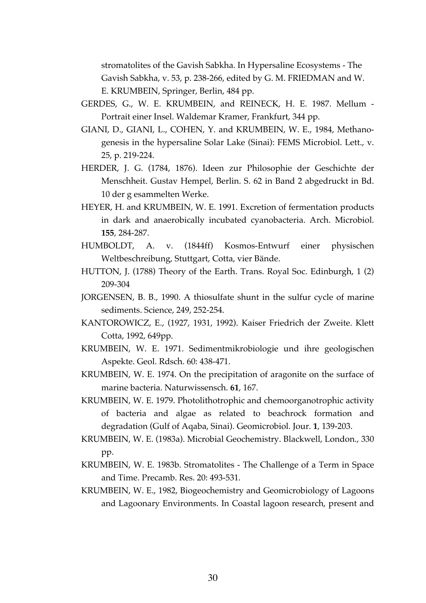stromatolites of the Gavish Sabkha. In Hypersaline Ecosystems - The Gavish Sabkha, v. 53, p. 238-266, edited by G. M. FRIEDMAN and W. E. KRUMBEIN, Springer, Berlin, 484 pp.

- GERDES, G., W. E. KRUMBEIN, and REINECK, H. E. 1987. Mellum Portrait einer Insel. Waldemar Kramer, Frankfurt, 344 pp.
- GIANI, D., GIANI, L., COHEN, Y. and KRUMBEIN, W. E., 1984, Methanogenesis in the hypersaline Solar Lake (Sinai): FEMS Microbiol. Lett., v. 25, p. 219-224.
- HERDER, J. G. (1784, 1876). Ideen zur Philosophie der Geschichte der Menschheit. Gustav Hempel, Berlin. S. 62 in Band 2 abgedruckt in Bd. 10 der g esammelten Werke.
- HEYER, H. and KRUMBEIN, W. E. 1991. Excretion of fermentation products in dark and anaerobically incubated cyanobacteria. Arch. Microbiol. **155**, 284-287.
- HUMBOLDT, A. v. (1844ff) Kosmos-Entwurf einer physischen Weltbeschreibung, Stuttgart, Cotta, vier Bände.
- HUTTON, J. (1788) Theory of the Earth. Trans. Royal Soc. Edinburgh, 1 (2) 209-304
- JORGENSEN, B. B., 1990. A thiosulfate shunt in the sulfur cycle of marine sediments. Science, 249, 252-254.
- KANTOROWICZ, E., (1927, 1931, 1992). Kaiser Friedrich der Zweite. Klett Cotta, 1992, 649pp.
- KRUMBEIN, W. E. 1971. Sedimentmikrobiologie und ihre geologischen Aspekte. Geol. Rdsch. 60: 438-471.
- KRUMBEIN, W. E. 1974. On the precipitation of aragonite on the surface of marine bacteria. Naturwissensch. **61**, 167.
- KRUMBEIN, W. E. 1979. Photolithotrophic and chemoorganotrophic activity of bacteria and algae as related to beachrock formation and degradation (Gulf of Aqaba, Sinai). Geomicrobiol. Jour. **1**, 139-203.
- KRUMBEIN, W. E. (1983a). Microbial Geochemistry. Blackwell, London., 330 pp.
- KRUMBEIN, W. E. 1983b. Stromatolites The Challenge of a Term in Space and Time. Precamb. Res. 20: 493-531.
- KRUMBEIN, W. E., 1982, Biogeochemistry and Geomicrobiology of Lagoons and Lagoonary Environments. In Coastal lagoon research, present and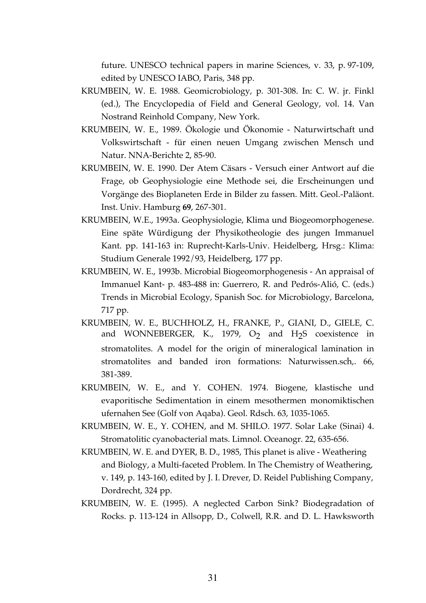future. UNESCO technical papers in marine Sciences, v. 33, p. 97-109, edited by UNESCO IABO, Paris, 348 pp.

- KRUMBEIN, W. E. 1988. Geomicrobiology, p. 301-308. In: C. W. jr. Finkl (ed.), The Encyclopedia of Field and General Geology, vol. 14. Van Nostrand Reinhold Company, New York.
- KRUMBEIN, W. E., 1989. Ökologie und Ökonomie Naturwirtschaft und Volkswirtschaft - für einen neuen Umgang zwischen Mensch und Natur. NNA-Berichte 2, 85-90.
- KRUMBEIN, W. E. 1990. Der Atem Cäsars Versuch einer Antwort auf die Frage, ob Geophysiologie eine Methode sei, die Erscheinungen und Vorgänge des Bioplaneten Erde in Bilder zu fassen. Mitt. Geol.-Paläont. Inst. Univ. Hamburg **69**, 267-301.
- KRUMBEIN, W.E., 1993a. Geophysiologie, Klima und Biogeomorphogenese. Eine späte Würdigung der Physikotheologie des jungen Immanuel Kant. pp. 141-163 in: Ruprecht-Karls-Univ. Heidelberg, Hrsg.: Klima: Studium Generale 1992/93, Heidelberg, 177 pp.
- KRUMBEIN, W. E., 1993b. Microbial Biogeomorphogenesis An appraisal of Immanuel Kant- p. 483-488 in: Guerrero, R. and Pedrós-Alió, C. (eds.) Trends in Microbial Ecology, Spanish Soc. for Microbiology, Barcelona, 717 pp.
- KRUMBEIN, W. E., BUCHHOLZ, H., FRANKE, P., GIANI, D., GIELE, C. and WONNEBERGER, K., 1979, O<sub>2</sub> and H<sub>2</sub>S coexistence in stromatolites. A model for the origin of mineralogical lamination in stromatolites and banded iron formations: Naturwissen.sch,. 66, 381-389.
- KRUMBEIN, W. E., and Y. COHEN. 1974. Biogene, klastische und evaporitische Sedimentation in einem mesothermen monomiktischen ufernahen See (Golf von Aqaba). Geol. Rdsch. 63, 1035-1065.
- KRUMBEIN, W. E., Y. COHEN, and M. SHILO. 1977. Solar Lake (Sinai) 4. Stromatolitic cyanobacterial mats. Limnol. Oceanogr. 22, 635-656.
- KRUMBEIN, W. E. and DYER, B. D., 1985, This planet is alive Weathering and Biology, a Multi-faceted Problem. In The Chemistry of Weathering, v. 149, p. 143-160, edited by J. I. Drever, D. Reidel Publishing Company, Dordrecht, 324 pp.
- KRUMBEIN, W. E. (1995). A neglected Carbon Sink? Biodegradation of Rocks. p. 113-124 in Allsopp, D., Colwell, R.R. and D. L. Hawksworth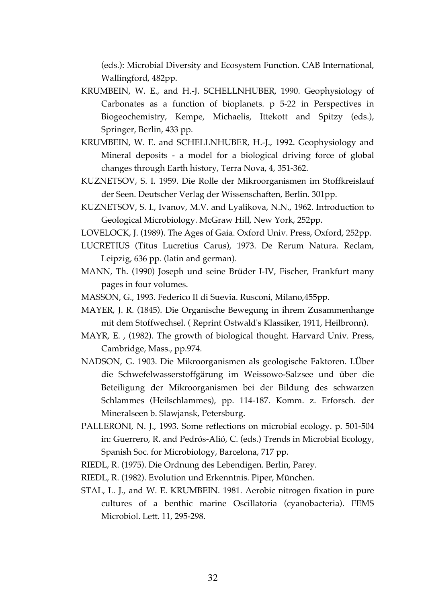(eds.): Microbial Diversity and Ecosystem Function. CAB International, Wallingford, 482pp.

- KRUMBEIN, W. E., and H.-J. SCHELLNHUBER, 1990. Geophysiology of Carbonates as a function of bioplanets. p 5-22 in Perspectives in Biogeochemistry, Kempe, Michaelis, Ittekott and Spitzy (eds.), Springer, Berlin, 433 pp.
- KRUMBEIN, W. E. and SCHELLNHUBER, H.-J., 1992. Geophysiology and Mineral deposits - a model for a biological driving force of global changes through Earth history, Terra Nova, 4, 351-362.
- KUZNETSOV, S. I. 1959. Die Rolle der Mikroorganismen im Stoffkreislauf der Seen. Deutscher Verlag der Wissenschaften, Berlin. 301pp.
- KUZNETSOV, S. I., Ivanov, M.V. and Lyalikova, N.N., 1962. Introduction to Geological Microbiology. McGraw Hill, New York, 252pp.
- LOVELOCK, J. (1989). The Ages of Gaia. Oxford Univ. Press, Oxford, 252pp.
- LUCRETIUS (Titus Lucretius Carus), 1973. De Rerum Natura. Reclam, Leipzig, 636 pp. (latin and german).
- MANN, Th. (1990) Joseph und seine Brüder I-IV, Fischer, Frankfurt many pages in four volumes.
- MASSON, G., 1993. Federico II di Suevia. Rusconi, Milano,455pp.
- MAYER, J. R. (1845). Die Organische Bewegung in ihrem Zusammenhange mit dem Stoffwechsel. ( Reprint Ostwald's Klassiker, 1911, Heilbronn).
- MAYR, E. , (1982). The growth of biological thought. Harvard Univ. Press, Cambridge, Mass., pp.974.
- NADSON, G. 1903. Die Mikroorganismen als geologische Faktoren. I.Über die Schwefelwasserstoffgärung im Weissowo-Salzsee und über die Beteiligung der Mikroorganismen bei der Bildung des schwarzen Schlammes (Heilschlammes), pp. 114-187. Komm. z. Erforsch. der Mineralseen b. Slawjansk, Petersburg.
- PALLERONI, N. J., 1993. Some reflections on microbial ecology. p. 501-504 in: Guerrero, R. and Pedrós-Alió, C. (eds.) Trends in Microbial Ecology, Spanish Soc. for Microbiology, Barcelona, 717 pp.
- RIEDL, R. (1975). Die Ordnung des Lebendigen. Berlin, Parey.
- RIEDL, R. (1982). Evolution und Erkenntnis. Piper, München.
- STAL, L. J., and W. E. KRUMBEIN. 1981. Aerobic nitrogen fixation in pure cultures of a benthic marine Oscillatoria (cyanobacteria). FEMS Microbiol. Lett. 11, 295-298.